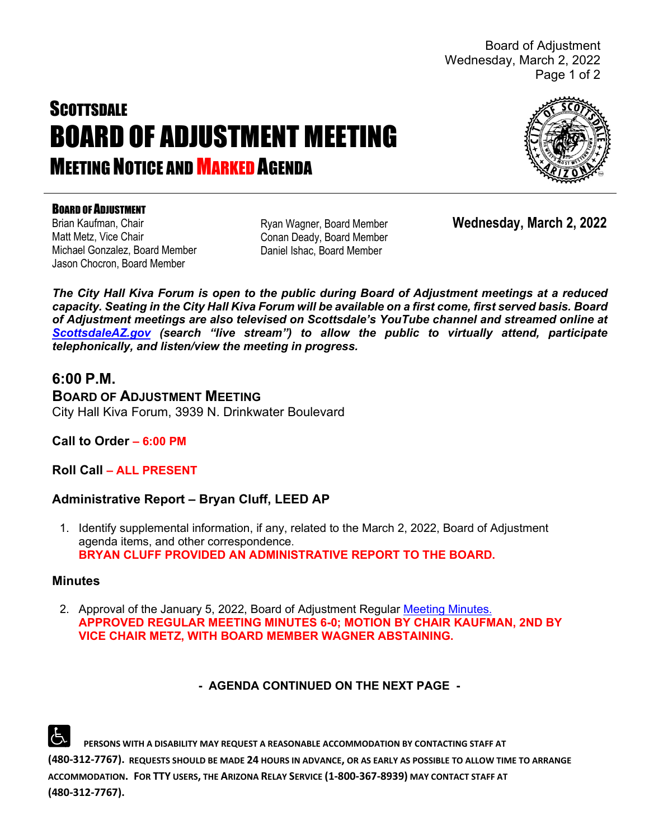Board of Adjustment Wednesday, March 2, 2022 Page 1 of 2

# **SCOTTSDALE** BOARD OF ADJUSTMENT MEETING **MEETING NOTICE AND MARKED AGENDA**



#### BOARD OF ADJUSTMENT

Brian Kaufman, Chair Matt Metz, Vice Chair Michael Gonzalez, Board Member Jason Chocron, Board Member

Ryan Wagner, Board Member Conan Deady, Board Member Daniel Ishac, Board Member

**Wednesday, March 2, 2022**

*The City Hall Kiva Forum is open to the public during Board of Adjustment meetings at a reduced capacity. Seating in the City Hall Kiva Forum will be available on a first come, first served basis. Board of Adjustment meetings are also televised on Scottsdale's YouTube channel and streamed online at [ScottsdaleAZ.gov](http://www.scottsdaleaz.gov/) (search "live stream") to allow the public to virtually attend, participate telephonically, and listen/view the meeting in progress.*

# **6:00 P.M.**

**BOARD OF ADJUSTMENT MEETING**  City Hall Kiva Forum, 3939 N. Drinkwater Boulevard

## **Call to Order – 6:00 PM**

**Roll Call – ALL PRESENT**

## **Administrative Report – Bryan Cluff, LEED AP**

1. Identify supplemental information, if any, related to the March 2, 2022, Board of Adjustment agenda items, and other correspondence. **BRYAN CLUFF PROVIDED AN ADMINISTRATIVE REPORT TO THE BOARD.**

#### **Minutes**

2. Approval of the January 5, 2022, Board of Adjustment Regular [Meeting Minutes.](https://eservices.scottsdaleaz.gov/planning/projectsummary/unrelated_documents/BOA_MINUTES_01052022.pdf) **APPROVED REGULAR MEETING MINUTES 6-0; MOTION BY CHAIR KAUFMAN, 2ND BY VICE CHAIR METZ, WITH BOARD MEMBER WAGNER ABSTAINING.**

## **- AGENDA CONTINUED ON THE NEXT PAGE -**

 **PERSONS WITH A DISABILITY MAY REQUEST A REASONABLE ACCOMMODATION BY CONTACTING STAFF AT (480-312-7767). REQUESTS SHOULD BE MADE 24 HOURS IN ADVANCE, OR AS EARLY AS POSSIBLE TO ALLOW TIME TO ARRANGE ACCOMMODATION. FOR TTY USERS, THE ARIZONA RELAY SERVICE (1-800-367-8939) MAY CONTACT STAFF AT (480-312-7767).**